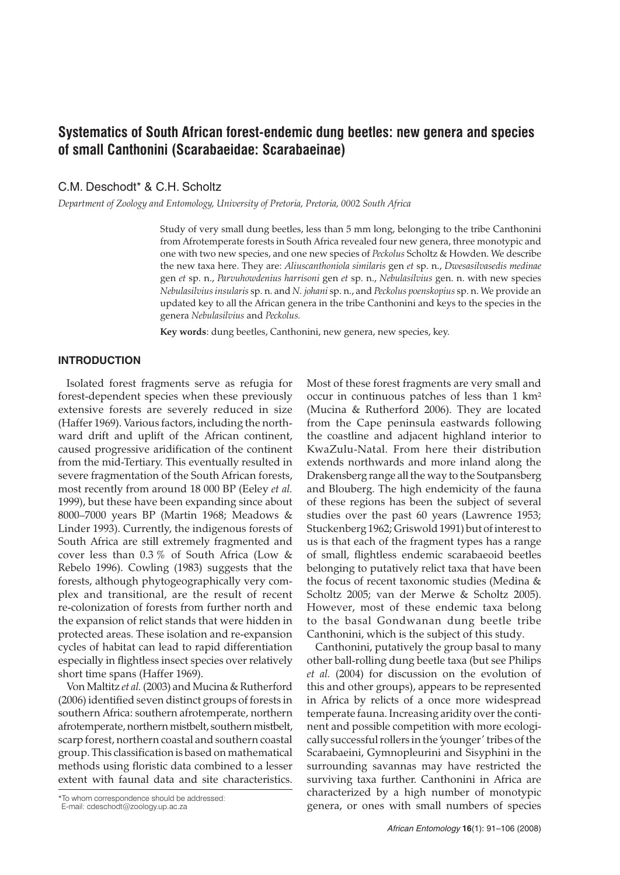# **Systematics of South African forest-endemic dung beetles: new genera and species of small Canthonini (Scarabaeidae: Scarabaeinae)**

C.M. Deschodt\* & C.H. Scholtz

*Department of Zoology and Entomology, University of Pretoria, Pretoria, 0002 South Africa*

Study of very small dung beetles, less than 5 mm long, belonging to the tribe Canthonini from Afrotemperate forests in South Africa revealed four new genera, three monotypic and one with two new species, and one new species of *Peckolus* Scholtz & Howden. We describe the new taxa here. They are: *Aliuscanthoniola similaris* gen *et* sp. n., *Dwesasilvasedis medinae* gen *et* sp. n., *Parvuhowdenius harrisoni* gen *et* sp. n., *Nebulasilvius* gen. n. with new species *Nebulasilvius insularis* sp. n. and *N. johani* sp. n., and *Peckolus poenskopius* sp. n. We provide an updated key to all the African genera in the tribe Canthonini and keys to the species in the genera *Nebulasilvius* and *Peckolus.*

**Key words**: dung beetles, Canthonini, new genera, new species, key.

## **INTRODUCTION**

Isolated forest fragments serve as refugia for forest-dependent species when these previously extensive forests are severely reduced in size (Haffer 1969). Various factors, including the northward drift and uplift of the African continent, caused progressive aridification of the continent from the mid-Tertiary. This eventually resulted in severe fragmentation of the South African forests, most recently from around 18 000 BP (Eeley *et al.* 1999), but these have been expanding since about 8000–7000 years BP (Martin 1968; Meadows & Linder 1993). Currently, the indigenous forests of South Africa are still extremely fragmented and cover less than 0.3 % of South Africa (Low & Rebelo 1996). Cowling (1983) suggests that the forests, although phytogeographically very complex and transitional, are the result of recent re-colonization of forests from further north and the expansion of relict stands that were hidden in protected areas. These isolation and re-expansion cycles of habitat can lead to rapid differentiation especially in flightless insect species over relatively short time spans (Haffer 1969).

Von Maltitz *et al.* (2003) and Mucina & Rutherford (2006) identified seven distinct groups of forests in southern Africa: southern afrotemperate, northern afrotemperate, northern mistbelt, southern mistbelt, scarp forest, northern coastal and southern coastal group. This classification is based on mathematical methods using floristic data combined to a lesser extent with faunal data and site characteristics.

\*To whom correspondence should be addressed:

Most of these forest fragments are very small and occur in continuous patches of less than 1 km² (Mucina & Rutherford 2006). They are located from the Cape peninsula eastwards following the coastline and adjacent highland interior to KwaZulu-Natal. From here their distribution extends northwards and more inland along the Drakensberg range all the way to the Soutpansberg and Blouberg. The high endemicity of the fauna of these regions has been the subject of several studies over the past 60 years (Lawrence 1953; Stuckenberg 1962; Griswold 1991) but of interest to us is that each of the fragment types has a range of small, flightless endemic scarabaeoid beetles belonging to putatively relict taxa that have been the focus of recent taxonomic studies (Medina & Scholtz 2005; van der Merwe & Scholtz 2005). However, most of these endemic taxa belong to the basal Gondwanan dung beetle tribe Canthonini, which is the subject of this study.

Canthonini, putatively the group basal to many other ball-rolling dung beetle taxa (but see Philips *et al.* (2004) for discussion on the evolution of this and other groups), appears to be represented in Africa by relicts of a once more widespread temperate fauna. Increasing aridity over the continent and possible competition with more ecologically successful rollers in the 'younger' tribes of the Scarabaeini, Gymnopleurini and Sisyphini in the surrounding savannas may have restricted the surviving taxa further. Canthonini in Africa are characterized by a high number of monotypic genera, or ones with small numbers of species

E-mail: cdeschodt@zoology.up.ac.za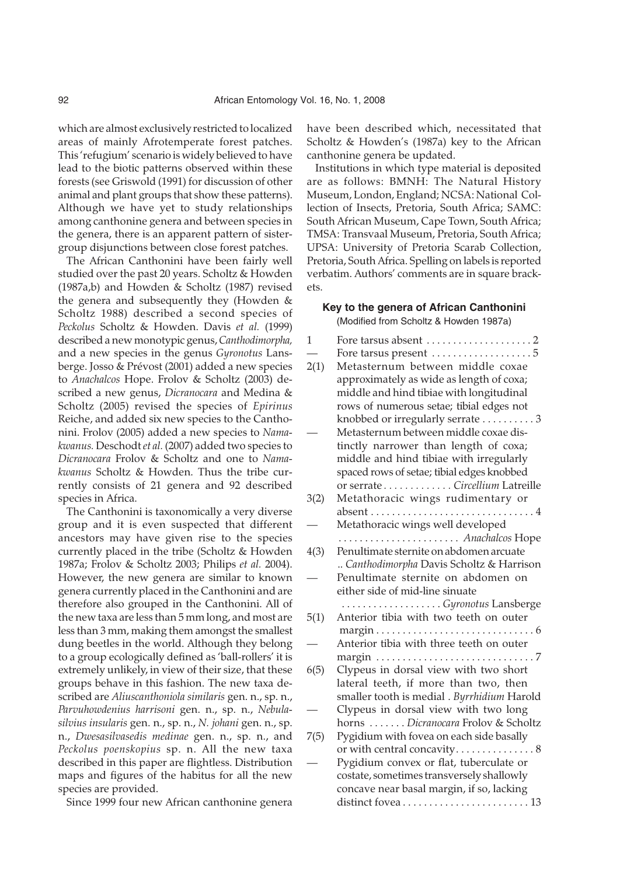which are almost exclusively restricted to localized areas of mainly Afrotemperate forest patches. This 'refugium' scenario is widely believed to have lead to the biotic patterns observed within these forests (see Griswold (1991) for discussion of other animal and plant groups that show these patterns). Although we have yet to study relationships among canthonine genera and between species in the genera, there is an apparent pattern of sistergroup disjunctions between close forest patches.

The African Canthonini have been fairly well studied over the past 20 years. Scholtz & Howden (1987a,b) and Howden & Scholtz (1987) revised the genera and subsequently they (Howden & Scholtz 1988) described a second species of *Peckolus* Scholtz & Howden. Davis *et al.* (1999) described a new monotypic genus,*Canthodimorpha,* and a new species in the genus *Gyronotus* Lansberge. Josso & Prévost (2001) added a new species to *Anachalcos* Hope. Frolov & Scholtz (2003) described a new genus, *Dicranocara* and Medina & Scholtz (2005) revised the species of *Epirinus* Reiche, and added six new species to the Canthonini. Frolov (2005) added a new species to *Namakwanus.* Deschodt*et al.* (2007) added two species to *Dicranocara* Frolov & Scholtz and one to *Namakwanus* Scholtz & Howden. Thus the tribe currently consists of 21 genera and 92 described species in Africa.

The Canthonini is taxonomically a very diverse group and it is even suspected that different ancestors may have given rise to the species currently placed in the tribe (Scholtz & Howden 1987a; Frolov & Scholtz 2003; Philips *et al.* 2004). However, the new genera are similar to known genera currently placed in the Canthonini and are therefore also grouped in the Canthonini. All of the new taxa are less than 5 mm long, and most are less than 3 mm, making them amongst the smallest dung beetles in the world. Although they belong to a group ecologically defined as 'ball-rollers' it is extremely unlikely, in view of their size, that these groups behave in this fashion. The new taxa described are *Aliuscanthoniola similaris* gen. n., sp. n., *Parvuhowdenius harrisoni* gen. n., sp. n., *Nebulasilvius insularis* gen. n., sp. n., *N. johani* gen. n., sp. n., *Dwesasilvasedis medinae* gen. n., sp. n., and *Peckolus poenskopius* sp. n. All the new taxa described in this paper are flightless. Distribution maps and figures of the habitus for all the new species are provided.

Since 1999 four new African canthonine genera

have been described which, necessitated that Scholtz & Howden's (1987a) key to the African canthonine genera be updated.

Institutions in which type material is deposited are as follows: BMNH: The Natural History Museum, London, England; NCSA: National Collection of Insects, Pretoria, South Africa; SAMC: South African Museum, Cape Town, South Africa; TMSA: Transvaal Museum, Pretoria, South Africa; UPSA: University of Pretoria Scarab Collection, Pretoria, South Africa. Spelling on labels is reported verbatim. Authors' comments are in square brackets.

## **Key to the genera of African Canthonini**

(Modified from Scholtz & Howden 1987a)

| 1    | Fore tarsus absent $\dots\dots\dots\dots\dots\dots 2$ |
|------|-------------------------------------------------------|
|      |                                                       |
| 2(1) | Metasternum between middle coxae                      |
|      | approximately as wide as length of coxa;              |
|      | middle and hind tibiae with longitudinal              |
|      | rows of numerous setae; tibial edges not              |
|      | knobbed or irregularly serrate 3                      |
|      | Metasternum between middle coxae dis-                 |
|      | tinctly narrower than length of coxa;                 |
|      | middle and hind tibiae with irregularly               |
|      | spaced rows of setae; tibial edges knobbed            |
|      | or serrate Circellium Latreille                       |
| 3(2) | Metathoracic wings rudimentary or                     |
|      |                                                       |
|      | Metathoracic wings well developed                     |
|      | Anachalcos Hope                                       |
| 4(3) | Penultimate sternite on abdomen arcuate               |
|      | Canthodimorpha Davis Scholtz & Harrison               |
|      | Penultimate sternite on abdomen on                    |
|      | either side of mid-line sinuate                       |
|      | Gyronotus Lansberge                                   |
| 5(1) | Anterior tibia with two teeth on outer                |
|      |                                                       |
|      | Anterior tibia with three teeth on outer              |
|      |                                                       |
| 6(5) | Clypeus in dorsal view with two short                 |
|      | lateral teeth, if more than two, then                 |
|      | smaller tooth is medial . Byrrhidium Harold           |
|      | Clypeus in dorsal view with two long                  |
|      | horns  Dicranocara Frolov & Scholtz                   |
| 7(5) | Pygidium with fovea on each side basally              |
|      | or with central concavity 8                           |
|      | Pygidium convex or flat, tuberculate or               |
|      | costate, sometimes transversely shallowly             |
|      | concave near basal margin, if so, lacking             |
|      |                                                       |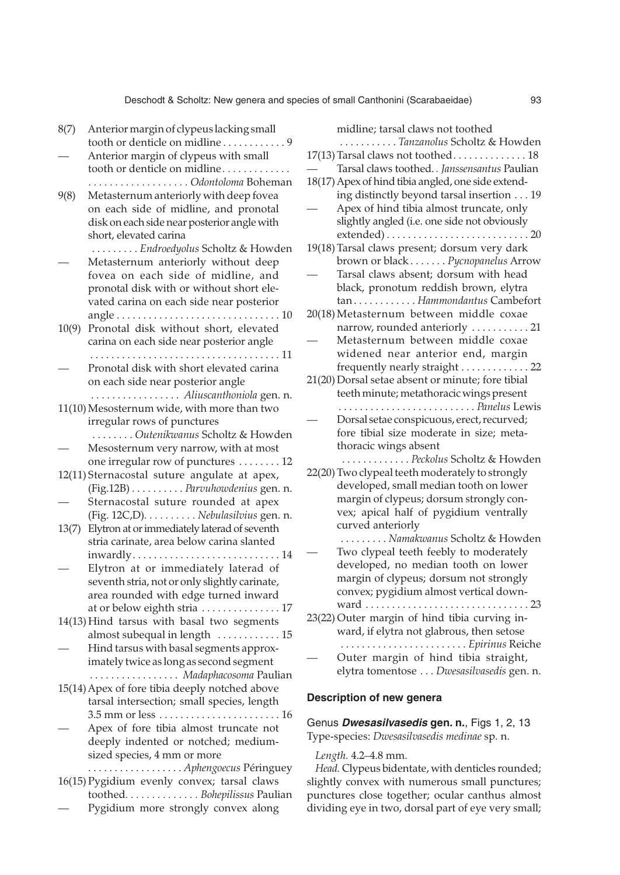- 8(7) Anterior margin of clypeus lacking small tooth or denticle on midline . . . . . . . . . . . . 9 — Anterior margin of clypeus with small tooth or denticle on midline *. . . . . . . . . . . . . . . . . . . . . . . . . . . . . . . . Odontoloma* Boheman 9(8) Metasternum anteriorly with deep fovea on each side of midline, and pronotal disk oneach side near posterior angle with short, elevated carina . . . . . . . . . *Endroedyolus* Scholtz & Howden — Metasternum anteriorly without deep fovea on each side of midline, and pronotal disk with or without short elevated carina on each side near posterior angle . . . . . . . . . . . . . . . . . . . . . . . . . . . . . . . 10 10(9) Pronotal disk without short, elevated carina on each side near posterior angle . . . . . . . . . . . . . . . . . . . . . . . . . . . . . . . . . . . . 11 Pronotal disk with short elevated carina on each side near posterior angle . . . . . . . . . . . . . . . . . *Aliuscanthoniola* gen. n. 11(10) Mesosternum wide, with more than two irregular rows of punctures . . . . . . . . *Outenikwanus* Scholtz & Howden — Mesosternum very narrow, with at most one irregular row of punctures . . . . . . . . 12 12(11) Sternacostal suture angulate at apex, (Fig.12B) . . . . . . . . . . *Parvuhowdenius* gen. n. Sternacostal suture rounded at apex (Fig. 12C,D)*. . . . . . . . . . Nebulasilvius* gen. n. 13(7) Elytron at or immediately laterad of seventh stria carinate, area below carina slanted inwardly . . . . . . . . . . . . . . . . . . . . . . . . . . . . 14 — Elytron at or immediately laterad of seventh stria, not or only slightly carinate, area rounded with edge turned inward at or below eighth stria . . . . . . . . . . . . . . . 17 14(13) Hind tarsus with basal two segments almost subequal in length . . . . . . . . . . . . 15 — Hind tarsus with basal segments approximately twice as long as second segment . . . . . . . . . . . . . . . . . *Madaphacosoma* Paulian 15(14) Apex of fore tibia deeply notched above tarsal intersection; small species, length 3.5 mm or less . . . . . . . . . . . . . . . . . . . . . . . 16 — Apex of fore tibia almost truncate not deeply indented or notched; mediumsized species, 4 mm or more . . . . . . . . . . . . . . . . . . *Aphengoecus* Péringuey 16(15) Pygidium evenly convex; tarsal claws toothed*. . . . . . . . . . . . . . Bohepilissus* Paulian
- Pygidium more strongly convex along

| midline; tarsal claws not toothed                  |
|----------------------------------------------------|
| Tanzanolus Scholtz & Howden                        |
|                                                    |
| Tarsal claws toothed Janssensantus Paulian         |
| 18(17) Apex of hind tibia angled, one side extend- |
| ing distinctly beyond tarsal insertion 19          |
| Apex of hind tibia almost truncate, only           |
| slightly angled (i.e. one side not obviously       |
|                                                    |
| 19(18) Tarsal claws present; dorsum very dark      |
| brown or black Pycnopanelus Arrow                  |
| Tarsal claws absent; dorsum with head              |
| black, pronotum reddish brown, elytra              |
| tanHammondantus Cambefort                          |
| 20(18) Metasternum between middle coxae            |
| narrow, rounded anteriorly  21                     |
| Metasternum between middle coxae                   |
| widened near anterior end, margin                  |
| frequently nearly straight  22                     |
| 21(20) Dorsal setae absent or minute; fore tibial  |
| teeth minute; metathoracic wings present           |
| Panelus Lewis                                      |
| Dorsal setae conspicuous, erect, recurved;         |
| fore tibial size moderate in size; meta-           |
| thoracic wings absent                              |
| Peckolus Scholtz & Howden                          |
| 22(20) Two clypeal teeth moderately to strongly    |
| developed, small median tooth on lower             |
| margin of clypeus; dorsum strongly con-            |
| vex; apical half of pygidium ventrally             |
| curved anteriorly                                  |
| Namakwanus Scholtz & Howden                        |
| Two clypeal teeth feebly to moderately             |
| developed, no median tooth on lower                |
| margin of clypeus; dorsum not strongly             |
| convex; pygidium almost vertical down-             |
|                                                    |
| 23(22) Outer margin of hind tibia curving in-      |
|                                                    |
| ward, if elytra not glabrous, then setose          |
| <i>Epirinus</i> Reiche                             |
| Outer margin of hind tibia straight,               |
| elytra tomentose  Dwesasilvasedis gen. n.          |
|                                                    |

## **Description of new genera**

Genus **Dwesasilvasedis gen. n.**, Figs 1, 2, 13 Type-species: *Dwesasilvasedis medinae* sp. n.

#### *Length.* 4.2–4.8 mm.

*Head.* Clypeus bidentate, with denticles rounded; slightly convex with numerous small punctures; punctures close together; ocular canthus almost dividing eye in two, dorsal part of eye very small;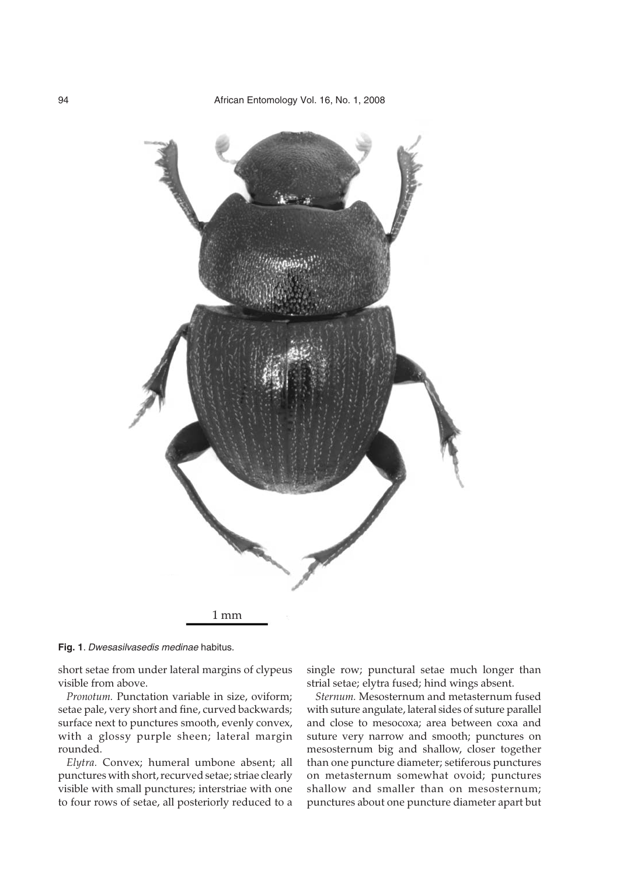

**Fig. 1**. Dwesasilvasedis medinae habitus.

short setae from under lateral margins of clypeus visible from above.

*Pronotum.* Punctation variable in size, oviform; setae pale, very short and fine, curved backwards; surface next to punctures smooth, evenly convex, with a glossy purple sheen; lateral margin rounded.

*Elytra.* Convex; humeral umbone absent; all punctures with short, recurved setae; striae clearly visible with small punctures; interstriae with one to four rows of setae, all posteriorly reduced to a single row; punctural setae much longer than strial setae; elytra fused; hind wings absent.

*Sternum.* Mesosternum and metasternum fused with suture angulate, lateral sides of suture parallel and close to mesocoxa; area between coxa and suture very narrow and smooth; punctures on mesosternum big and shallow, closer together than one puncture diameter; setiferous punctures on metasternum somewhat ovoid; punctures shallow and smaller than on mesosternum; punctures about one puncture diameter apart but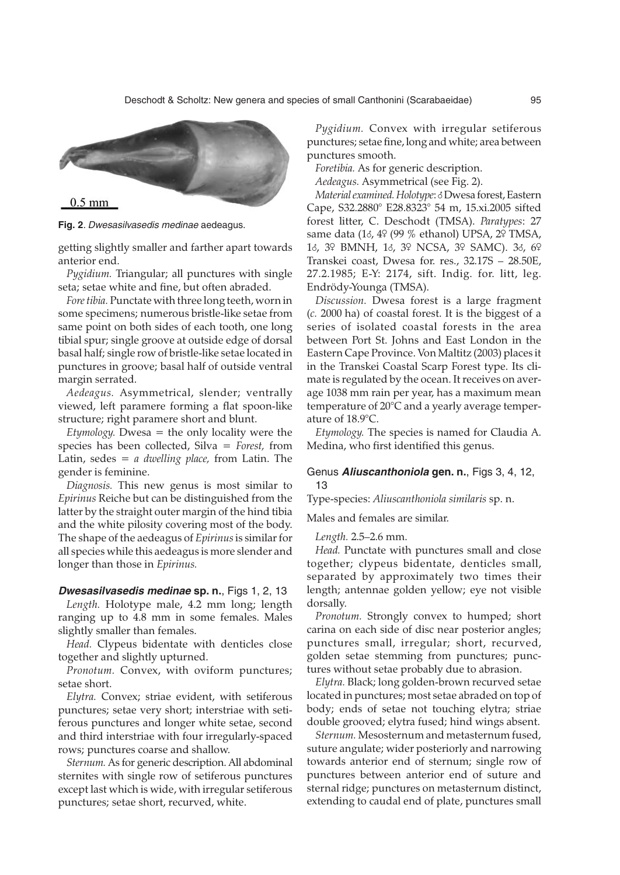

**Fig. 2**. Dwesasilvasedis medinae aedeagus.

getting slightly smaller and farther apart towards anterior end.

*Pygidium.* Triangular; all punctures with single seta; setae white and fine, but often abraded.

*Fore tibia.* Punctate with three long teeth, worn in some specimens; numerous bristle-like setae from same point on both sides of each tooth, one long tibial spur; single groove at outside edge of dorsal basal half; single row of bristle-like setae located in punctures in groove; basal half of outside ventral margin serrated.

*Aedeagus.* Asymmetrical, slender; ventrally viewed, left paramere forming a flat spoon-like structure; right paramere short and blunt.

*Etymology.* Dwesa = the only locality were the species has been collected, Silva = *Forest,* from Latin, sedes = *a dwelling place,* from Latin. The gender is feminine.

*Diagnosis.* This new genus is most similar to *Epirinus* Reiche but can be distinguished from the latter by the straight outer margin of the hind tibia and the white pilosity covering most of the body. The shape of the aedeagus of *Epirinus*is similar for all species while this aedeagus is more slender and longer than those in *Epirinus.*

#### **Dwesasilvasedis medinae sp. n.**, Figs 1, 2, 13

*Length.* Holotype male, 4.2 mm long; length ranging up to 4.8 mm in some females. Males slightly smaller than females.

*Head.* Clypeus bidentate with denticles close together and slightly upturned.

*Pronotum.* Convex, with oviform punctures; setae short.

*Elytra.* Convex; striae evident, with setiferous punctures; setae very short; interstriae with setiferous punctures and longer white setae, second and third interstriae with four irregularly-spaced rows; punctures coarse and shallow.

*Sternum.* As for generic description. All abdominal sternites with single row of setiferous punctures except last which is wide, with irregular setiferous punctures; setae short, recurved, white.

*Pygidium.* Convex with irregular setiferous punctures; setae fine, long and white; area between punctures smooth.

*Foretibia.* As for generic description.

*Aedeagus.* Asymmetrical (see Fig. 2).

*Material examined. Holotype*: 8Dwesa forest, Eastern Cape, S32.2880° E28.8323° 54 m, 15.xi.2005 sifted forest litter, C. Deschodt (TMSA). *Paratypes*: 27 same data (18, 49 (99 % ethanol) UPSA, 29 TMSA, 18, 39 BMNH, 18, 39 NCSA, 39 SAMC). 38, 69 Transkei coast, Dwesa for. res., 32.17S – 28.50E, 27.2.1985; E-Y: 2174, sift. Indig. for. litt, leg. Endrödy-Younga (TMSA).

*Discussion.* Dwesa forest is a large fragment (*c.* 2000 ha) of coastal forest. It is the biggest of a series of isolated coastal forests in the area between Port St. Johns and East London in the Eastern Cape Province. Von Maltitz (2003) places it in the Transkei Coastal Scarp Forest type. Its climate is regulated by the ocean. It receives on average 1038 mm rain per year, has a maximum mean temperature of 20°C and a yearly average temperature of 18.9°C.

*Etymology.* The species is named for Claudia A. Medina, who first identified this genus.

#### Genus **Aliuscanthoniola gen. n.**, Figs 3, 4, 12, 13

Type-species: *Aliuscanthoniola similaris* sp. n.

Males and females are similar.

*Length.* 2.5–2.6 mm.

*Head.* Punctate with punctures small and close together; clypeus bidentate, denticles small, separated by approximately two times their length; antennae golden yellow; eye not visible dorsally.

*Pronotum.* Strongly convex to humped; short carina on each side of disc near posterior angles; punctures small, irregular; short, recurved, golden setae stemming from punctures; punctures without setae probably due to abrasion.

*Elytra.* Black; long golden-brown recurved setae located in punctures; most setae abraded on top of body; ends of setae not touching elytra; striae double grooved; elytra fused; hind wings absent.

*Sternum.* Mesosternum and metasternum fused, suture angulate; wider posteriorly and narrowing towards anterior end of sternum; single row of punctures between anterior end of suture and sternal ridge; punctures on metasternum distinct, extending to caudal end of plate, punctures small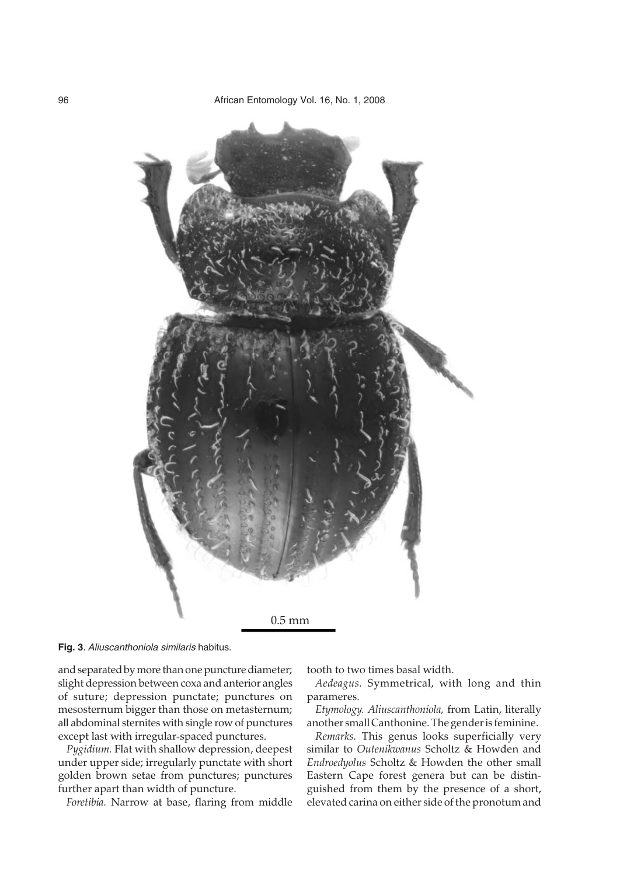

**Fig. 3**. Aliuscanthoniola similaris habitus.

and separated by more than one puncture diameter; slight depression between coxa and anterior angles of suture; depression punctate; punctures on mesosternum bigger than those on metasternum; all abdominal sternites with single row of punctures except last with irregular-spaced punctures.

*Pygidium.* Flat with shallow depression, deepest under upper side; irregularly punctate with short golden brown setae from punctures; punctures further apart than width of puncture.

*Foretibia.* Narrow at base, flaring from middle

tooth to two times basal width.

*Aedeagus.* Symmetrical, with long and thin parameres.

*Etymology. Aliuscanthoniola,* from Latin, literally another small Canthonine. The gender is feminine.

*Remarks.* This genus looks superficially very similar to *Outenikwanus* Scholtz & Howden and *Endroedyolus* Scholtz & Howden the other small Eastern Cape forest genera but can be distinguished from them by the presence of a short, elevated carina on either side of the pronotum and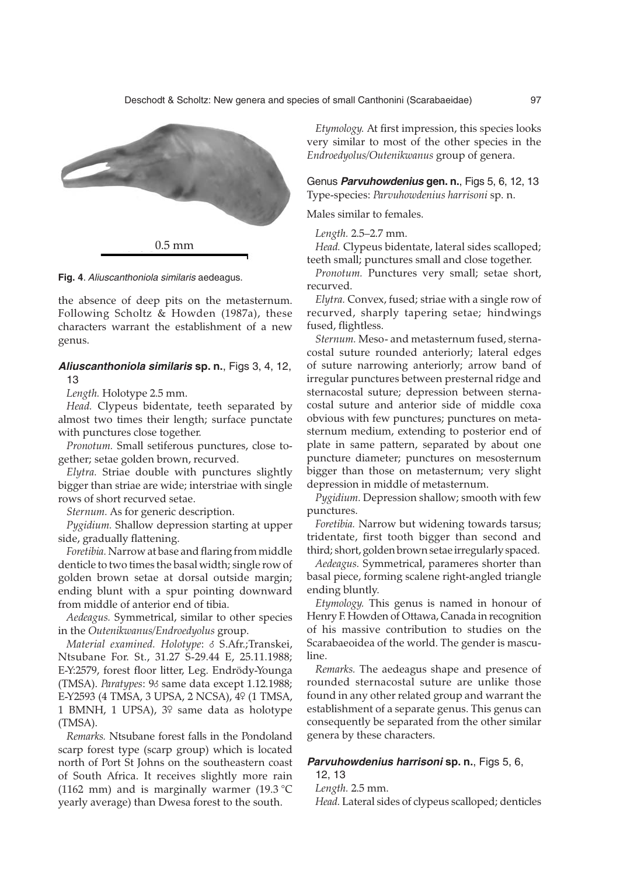

**Fig. 4**. Aliuscanthoniola similaris aedeagus.

the absence of deep pits on the metasternum. Following Scholtz & Howden (1987a), these characters warrant the establishment of a new genus.

## **Aliuscanthoniola similaris sp. n.**, Figs 3, 4, 12, 13

*Length.* Holotype 2.5 mm.

*Head.* Clypeus bidentate, teeth separated by almost two times their length; surface punctate with punctures close together.

*Pronotum.* Small setiferous punctures, close together; setae golden brown, recurved.

*Elytra.* Striae double with punctures slightly bigger than striae are wide; interstriae with single rows of short recurved setae.

*Sternum.* As for generic description.

*Pygidium.* Shallow depression starting at upper side, gradually flattening.

*Foretibia.* Narrow at base and flaring from middle denticle to two times the basal width; single row of golden brown setae at dorsal outside margin; ending blunt with a spur pointing downward from middle of anterior end of tibia.

*Aedeagus.* Symmetrical, similar to other species in the *Outenikwanus/Endroedyolus* group.

*Material examined. Holotype*: 8 S.Afr.;Transkei, Ntsubane For. St., 31.27 S-29.44 E, 25.11.1988; E-Y:2579, forest floor litter, Leg. Endrödy-Younga (TMSA). *Paratypes*: 98 same data except 1.12.1988; E-Y2593 (4 TMSA, 3 UPSA, 2 NCSA), 49 (1 TMSA, 1 BMNH, 1 UPSA), 39 same data as holotype (TMSA).

*Remarks.* Ntsubane forest falls in the Pondoland scarp forest type (scarp group) which is located north of Port St Johns on the southeastern coast of South Africa. It receives slightly more rain (1162 mm) and is marginally warmer (19.3  $^{\circ}$ C yearly average) than Dwesa forest to the south.

*Etymology.* At first impression, this species looks very similar to most of the other species in the *Endroedyolus*/*Outenikwanus* group of genera.

Genus **Parvuhowdenius gen. n.**, Figs 5, 6, 12, 13 Type-species: *Parvuhowdenius harrisoni* sp. n.

Males similar to females.

*Length.* 2.5–2.7 mm.

*Head.* Clypeus bidentate, lateral sides scalloped; teeth small; punctures small and close together.

*Pronotum.* Punctures very small; setae short, recurved.

*Elytra.* Convex, fused; striae with a single row of recurved, sharply tapering setae; hindwings fused, flightless.

*Sternum.* Meso- and metasternum fused, sternacostal suture rounded anteriorly; lateral edges of suture narrowing anteriorly; arrow band of irregular punctures between presternal ridge and sternacostal suture; depression between sternacostal suture and anterior side of middle coxa obvious with few punctures; punctures on metasternum medium, extending to posterior end of plate in same pattern, separated by about one puncture diameter; punctures on mesosternum bigger than those on metasternum; very slight depression in middle of metasternum.

*Pygidium.* Depression shallow; smooth with few punctures.

*Foretibia.* Narrow but widening towards tarsus; tridentate, first tooth bigger than second and third; short, golden brown setae irregularly spaced.

*Aedeagus.* Symmetrical, parameres shorter than basal piece, forming scalene right-angled triangle ending bluntly.

*Etymology.* This genus is named in honour of Henry F. Howden of Ottawa, Canada in recognition of his massive contribution to studies on the Scarabaeoidea of the world. The gender is masculine.

*Remarks.* The aedeagus shape and presence of rounded sternacostal suture are unlike those found in any other related group and warrant the establishment of a separate genus. This genus can consequently be separated from the other similar genera by these characters.

## **Parvuhowdenius harrisoni sp. n.**, Figs 5, 6,

12, 13

*Length.* 2.5 mm.

*Head.* Lateral sides of clypeus scalloped; denticles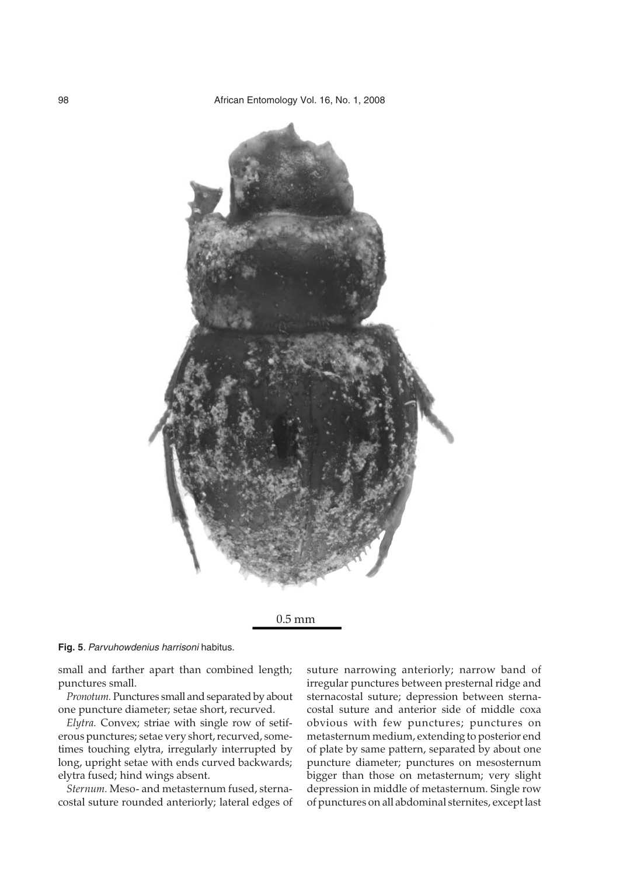





small and farther apart than combined length; punctures small.

*Pronotum.* Punctures small and separated by about one puncture diameter; setae short, recurved.

*Elytra.* Convex; striae with single row of setiferous punctures; setae very short, recurved, sometimes touching elytra, irregularly interrupted by long, upright setae with ends curved backwards; elytra fused; hind wings absent.

*Sternum.* Meso- and metasternum fused, sternacostal suture rounded anteriorly; lateral edges of suture narrowing anteriorly; narrow band of irregular punctures between presternal ridge and sternacostal suture; depression between sternacostal suture and anterior side of middle coxa obvious with few punctures; punctures on metasternum medium, extending to posterior end of plate by same pattern, separated by about one puncture diameter; punctures on mesosternum bigger than those on metasternum; very slight depression in middle of metasternum. Single row of punctures on all abdominal sternites, except last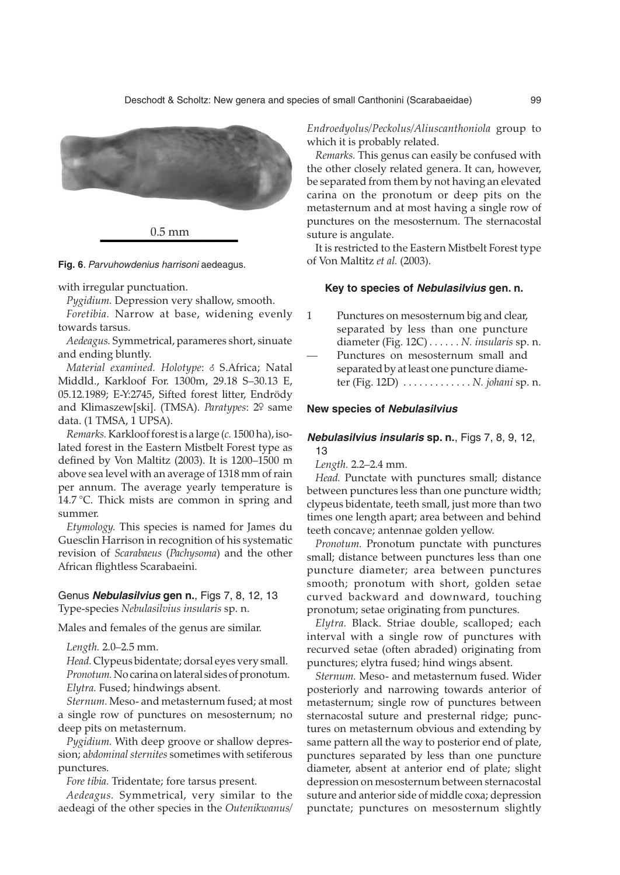

**Fig. 6**. Parvuhowdenius harrisoni aedeagus.

with irregular punctuation.

*Pygidium.* Depression very shallow, smooth.

*Foretibia.* Narrow at base, widening evenly towards tarsus.

*Aedeagus.* Symmetrical, parameres short, sinuate and ending bluntly.

*Material examined. Holotype*: 8 S.Africa; Natal Middld., Karkloof For. 1300m, 29.18 S–30.13 E, 05.12.1989; E-Y:2745, Sifted forest litter, Endrödy and Klimaszew[ski]. (TMSA). *Paratypes*: 29 same data. (1 TMSA, 1 UPSA).

*Remarks.*Karkloof forest is a large (*c.* 1500 ha), isolated forest in the Eastern Mistbelt Forest type as defined by Von Maltitz (2003). It is 1200–1500 m above sea level with an average of 1318 mm of rain per annum. The average yearly temperature is 14.7 °C. Thick mists are common in spring and summer.

*Etymology.* This species is named for James du Guesclin Harrison in recognition of his systematic revision of *Scarabaeus* (*Pachysoma*) and the other African flightless Scarabaeini.

## Genus **Nebulasilvius gen n.**, Figs 7, 8, 12, 13 Type-species *Nebulasilvius insularis* sp. n.

Males and females of the genus are similar.

*Length.* 2.0–2.5 mm.

*Head.* Clypeus bidentate; dorsal eyes very small. *Pronotum.* No carina on lateral sides of pronotum. *Elytra.* Fused; hindwings absent.

*Sternum.* Meso- and metasternum fused; at most a single row of punctures on mesosternum; no deep pits on metasternum.

*Pygidium.* With deep groove or shallow depression; a*bdominal sternites* sometimes with setiferous punctures.

*Fore tibia.* Tridentate; fore tarsus present.

*Aedeagus.* Symmetrical, very similar to the aedeagi of the other species in the *Outenikwanus/*

*Endroedyolus/Peckolus/Aliuscanthoniola* group to which it is probably related.

*Remarks.* This genus can easily be confused with the other closely related genera. It can, however, be separated from them by not having an elevated carina on the pronotum or deep pits on the metasternum and at most having a single row of punctures on the mesosternum. The sternacostal suture is angulate.

It is restricted to the Eastern Mistbelt Forest type of Von Maltitz *et al.* (2003).

#### **Key to species of Nebulasilvius gen. n.**

1 Punctures on mesosternum big and clear, separated by less than one puncture diameter (Fig. 12C) . . . . . . *N. insularis* sp. n. Punctures on mesosternum small and separated by at least one puncture diameter (Fig. 12D) . . . . . . . . . . . . . *N. johani* sp. n.

#### **New species of Nebulasilvius**

## **Nebulasilvius insularis sp. n.**, Figs 7, 8, 9, 12, 13

*Length.* 2.2–2.4 mm.

*Head.* Punctate with punctures small; distance between punctures less than one puncture width; clypeus bidentate, teeth small, just more than two times one length apart; area between and behind teeth concave; antennae golden yellow.

*Pronotum.* Pronotum punctate with punctures small; distance between punctures less than one puncture diameter; area between punctures smooth; pronotum with short, golden setae curved backward and downward, touching pronotum; setae originating from punctures.

*Elytra.* Black. Striae double, scalloped; each interval with a single row of punctures with recurved setae (often abraded) originating from punctures; elytra fused; hind wings absent.

*Sternum.* Meso- and metasternum fused. Wider posteriorly and narrowing towards anterior of metasternum; single row of punctures between sternacostal suture and presternal ridge; punctures on metasternum obvious and extending by same pattern all the way to posterior end of plate, punctures separated by less than one puncture diameter, absent at anterior end of plate; slight depression on mesosternum between sternacostal suture and anterior side of middle coxa; depression punctate; punctures on mesosternum slightly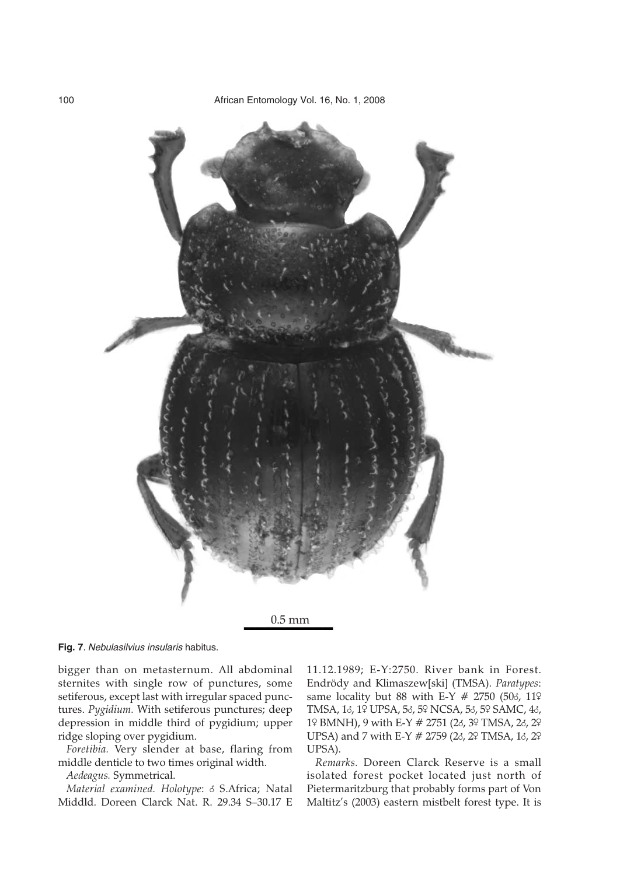

**Fig. 7**. Nebulasilvius insularis habitus.

bigger than on metasternum. All abdominal sternites with single row of punctures, some setiferous, except last with irregular spaced punctures. *Pygidium.* With setiferous punctures; deep depression in middle third of pygidium; upper ridge sloping over pygidium.

*Foretibia.* Very slender at base, flaring from middle denticle to two times original width.

*Aedeagus.* Symmetrical.

*Material examined. Holotype*: 8 S.Africa; Natal Middld. Doreen Clarck Nat. R. 29.34 S–30.17 E

11.12.1989; E-Y:2750. River bank in Forest. Endrödy and Klimaszew[ski] (TMSA). *Paratypes*: same locality but 88 with E-Y  $# 2750$  (503, 119 TMSA, 18, 19 UPSA, 58, 59 NCSA, 58, 59 SAMC, 48, 19 BMNH), 9 with E-Y # 2751 (28, 39 TMSA, 28, 29 UPSA) and 7 with E-Y # 2759 (28, 29 TMSA, 18, 29 UPSA).

*Remarks.* Doreen Clarck Reserve is a small isolated forest pocket located just north of Pietermaritzburg that probably forms part of Von Maltitz's (2003) eastern mistbelt forest type. It is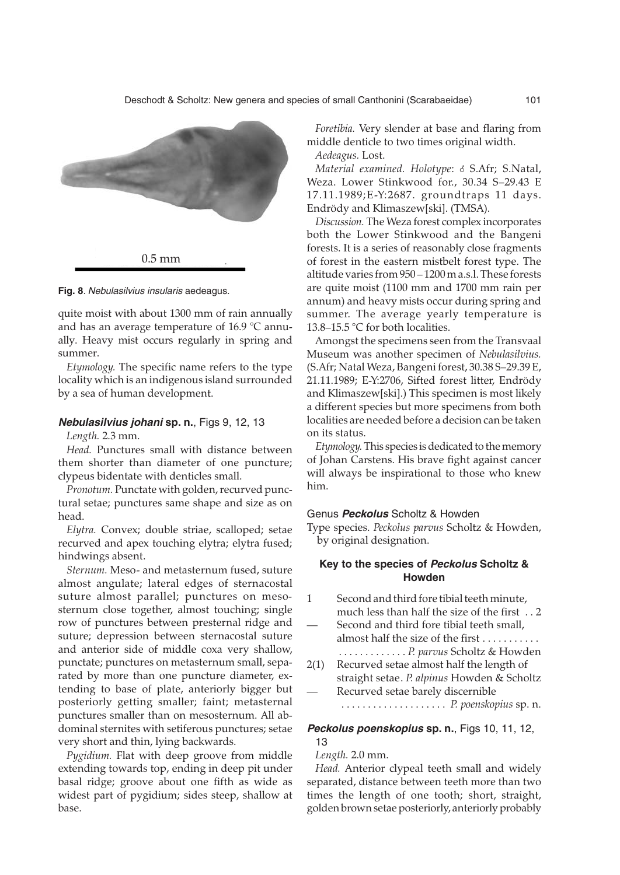

**Fig. 8**. Nebulasilvius insularis aedeagus.

quite moist with about 1300 mm of rain annually and has an average temperature of 16.9 °C annually. Heavy mist occurs regularly in spring and summer.

*Etymology.* The specific name refers to the type locality which is an indigenous island surrounded by a sea of human development.

## **Nebulasilvius johani sp. n.**, Figs 9, 12, 13

*Length.* 2.3 mm.

*Head.* Punctures small with distance between them shorter than diameter of one puncture; clypeus bidentate with denticles small.

*Pronotum.* Punctate with golden, recurved punctural setae; punctures same shape and size as on head.

*Elytra.* Convex; double striae, scalloped; setae recurved and apex touching elytra; elytra fused; hindwings absent.

*Sternum.* Meso- and metasternum fused, suture almost angulate; lateral edges of sternacostal suture almost parallel; punctures on mesosternum close together, almost touching; single row of punctures between presternal ridge and suture; depression between sternacostal suture and anterior side of middle coxa very shallow, punctate; punctures on metasternum small, separated by more than one puncture diameter, extending to base of plate, anteriorly bigger but posteriorly getting smaller; faint; metasternal punctures smaller than on mesosternum. All abdominal sternites with setiferous punctures; setae very short and thin, lying backwards.

*Pygidium.* Flat with deep groove from middle extending towards top, ending in deep pit under basal ridge; groove about one fifth as wide as widest part of pygidium; sides steep, shallow at base.

*Foretibia.* Very slender at base and flaring from middle denticle to two times original width. *Aedeagus.* Lost.

*Material examined. Holotype: 8 S.Afr; S.Natal,* Weza. Lower Stinkwood for., 30.34 S–29.43 E 17.11.1989;E-Y:2687. groundtraps 11 days. Endrödy and Klimaszew[ski]. (TMSA).

*Discussion.* The Weza forest complex incorporates both the Lower Stinkwood and the Bangeni forests. It is a series of reasonably close fragments of forest in the eastern mistbelt forest type. The altitude varies from 950 – 1200 m a.s.l. These forests are quite moist (1100 mm and 1700 mm rain per annum) and heavy mists occur during spring and summer. The average yearly temperature is 13.8–15.5 °C for both localities.

Amongst the specimens seen from the Transvaal Museum was another specimen of *Nebulasilvius.* (S.Afr; Natal Weza, Bangeni forest, 30.38 S–29.39 E, 21.11.1989; E-Y:2706, Sifted forest litter, Endrödy and Klimaszew[ski].) This specimen is most likely a different species but more specimens from both localities are needed before a decision can be taken on its status.

*Etymology.*This species is dedicated to the memory of Johan Carstens. His brave fight against cancer will always be inspirational to those who knew him.

#### Genus **Peckolus** Scholtz & Howden

Type species. *Peckolus parvus* Scholtz & Howden, by original designation.

## **Key to the species of Peckolus Scholtz & Howden**

- 1 Second and third fore tibial teeth minute, much less than half the size of the first . . 2 Second and third fore tibial teeth small.
	- almost half the size of the first . . . . . . . . . .
- . . . . . . . . . . . . . *P. parvus* Scholtz & Howden 2(1) Recurved setae almost half the length of
- straight setae. *P. alpinus* Howden & Scholtz Recurved setae barely discernible

. . . . . . . . . . . . . . . . . . . . *P. poenskopius* sp. n.

#### **Peckolus poenskopius sp. n.**, Figs 10, 11, 12, 13

*Length.* 2.0 mm.

*Head.* Anterior clypeal teeth small and widely separated, distance between teeth more than two times the length of one tooth; short, straight, golden brown setae posteriorly, anteriorly probably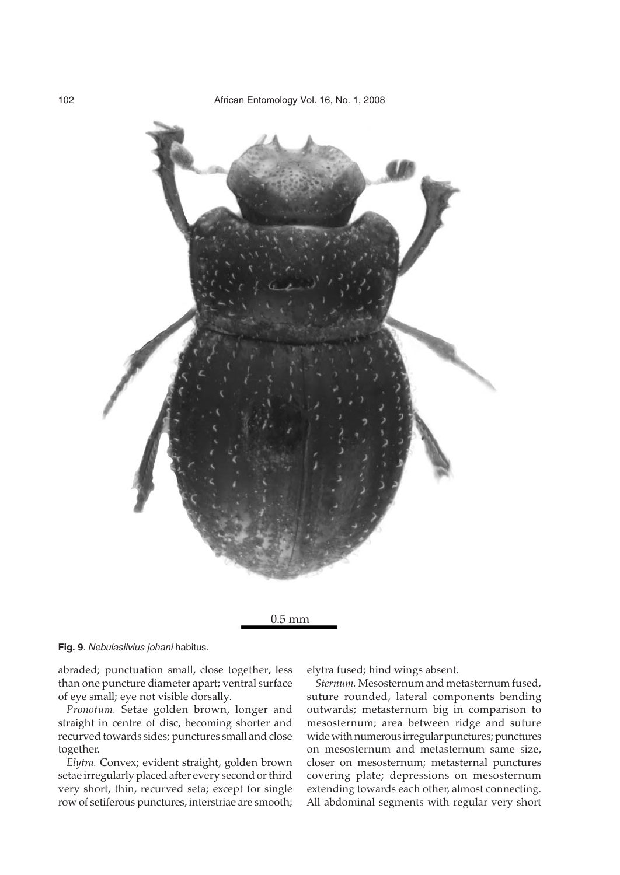

0.5 mm

**Fig. 9**. Nebulasilvius johani habitus.

abraded; punctuation small, close together, less than one puncture diameter apart; ventral surface of eye small; eye not visible dorsally.

*Pronotum.* Setae golden brown, longer and straight in centre of disc, becoming shorter and recurved towards sides; punctures small and close together.

*Elytra.* Convex; evident straight, golden brown setae irregularly placed after every second or third very short, thin, recurved seta; except for single row of setiferous punctures, interstriae are smooth; elytra fused; hind wings absent.

*Sternum.* Mesosternum and metasternum fused, suture rounded, lateral components bending outwards; metasternum big in comparison to mesosternum; area between ridge and suture wide with numerous irregular punctures; punctures on mesosternum and metasternum same size, closer on mesosternum; metasternal punctures covering plate; depressions on mesosternum extending towards each other, almost connecting. All abdominal segments with regular very short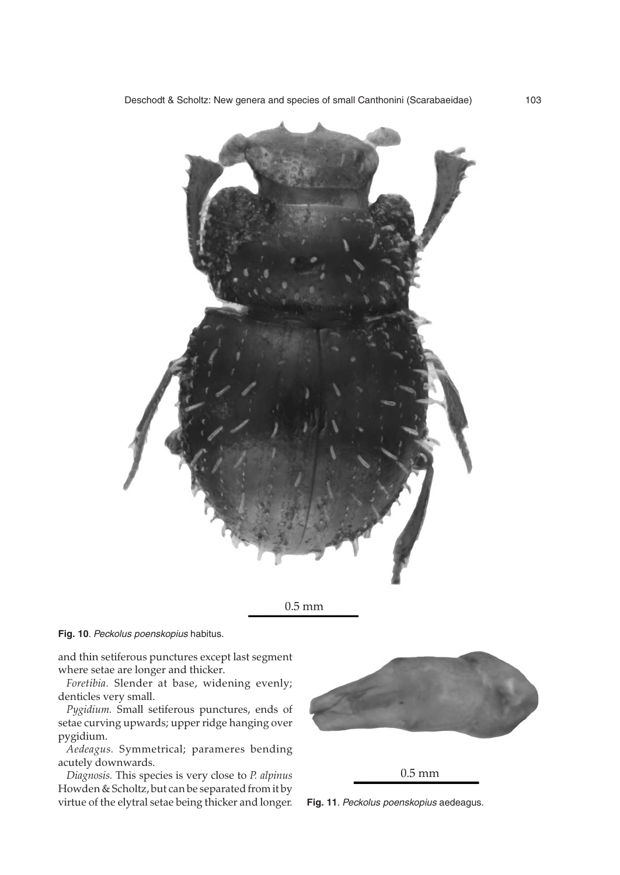



## **Fig. 10**. Peckolus poenskopius habitus.

and thin setiferous punctures except last segment where setae are longer and thicker.

*Foretibia.* Slender at base, widening evenly; denticles very small.

*Pygidium.* Small setiferous punctures, ends of setae curving upwards; upper ridge hanging over pygidium.

*Aedeagus.* Symmetrical; parameres bending acutely downwards.

*Diagnosis.* This species is very close to *P. alpinus* Howden & Scholtz, but can be separated from it by virtue of the elytral setae being thicker and longer.



0.5 mm

**Fig. 11**. Peckolus poenskopius aedeagus.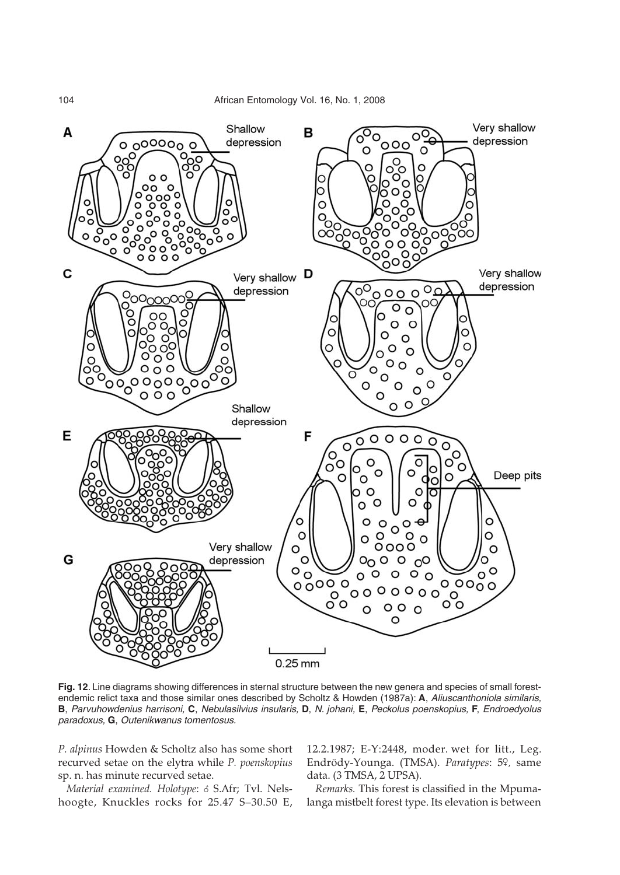

**Fig. 12**. Line diagrams showing differences in sternal structure between the new genera and species of small forestendemic relict taxa and those similar ones described by Scholtz & Howden (1987a): **A**, Aliuscanthoniola similaris, **B**, Parvuhowdenius harrisoni, **C**, Nebulasilvius insularis, **D**, N. johani, **E**, Peckolus poenskopius, **F**, Endroedyolus paradoxus, **G**, Outenikwanus tomentosus.

*P. alpinus* Howden & Scholtz also has some short recurved setae on the elytra while *P. poenskopius* sp. n. has minute recurved setae.

*Material examined. Holotype*: 8 S.Afr; Tvl. Nelshoogte, Knuckles rocks for 25.47 S–30.50 E,

12.2.1987; E-Y:2448, moder. wet for litt., Leg. Endrödy-Younga. (TMSA). *Paratypes*: 59, same data. (3 TMSA, 2 UPSA).

*Remarks.* This forest is classified in the Mpumalanga mistbelt forest type. Its elevation is between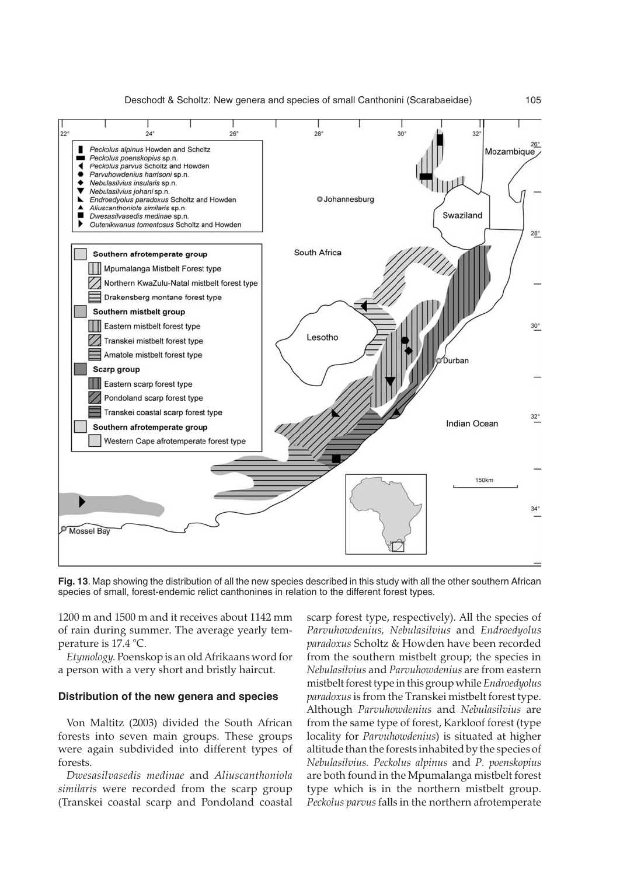

**Fig. 13**. Map showing the distribution of all the new species described in this study with all the other southern African species of small, forest-endemic relict canthonines in relation to the different forest types.

1200 m and 1500 m and it receives about 1142 mm of rain during summer. The average yearly temperature is 17.4 °C.

*Etymology.* Poenskop is an old Afrikaans word for a person with a very short and bristly haircut.

#### **Distribution of the new genera and species**

Von Maltitz (2003) divided the South African forests into seven main groups. These groups were again subdivided into different types of forests.

*Dwesasilvasedis medinae* and *Aliuscanthoniola similaris* were recorded from the scarp group (Transkei coastal scarp and Pondoland coastal

scarp forest type, respectively). All the species of *Parvuhowdenius, Nebulasilvius* and *Endroedyolus paradoxus* Scholtz & Howden have been recorded from the southern mistbelt group; the species in *Nebulasilvius* and *Parvuhowdenius* are from eastern mistbelt forest type in this group while*Endroedyolus paradoxus*is from the Transkei mistbelt forest type. Although *Parvuhowdenius* and *Nebulasilvius* are from the same type of forest, Karkloof forest (type locality for *Parvuhowdenius*) is situated at higher altitude than the forests inhabited by the species of *Nebulasilvius. Peckolus alpinus* and *P. poenskopius* are both found in the Mpumalanga mistbelt forest type which is in the northern mistbelt group. *Peckolus parvus* falls in the northern afrotemperate